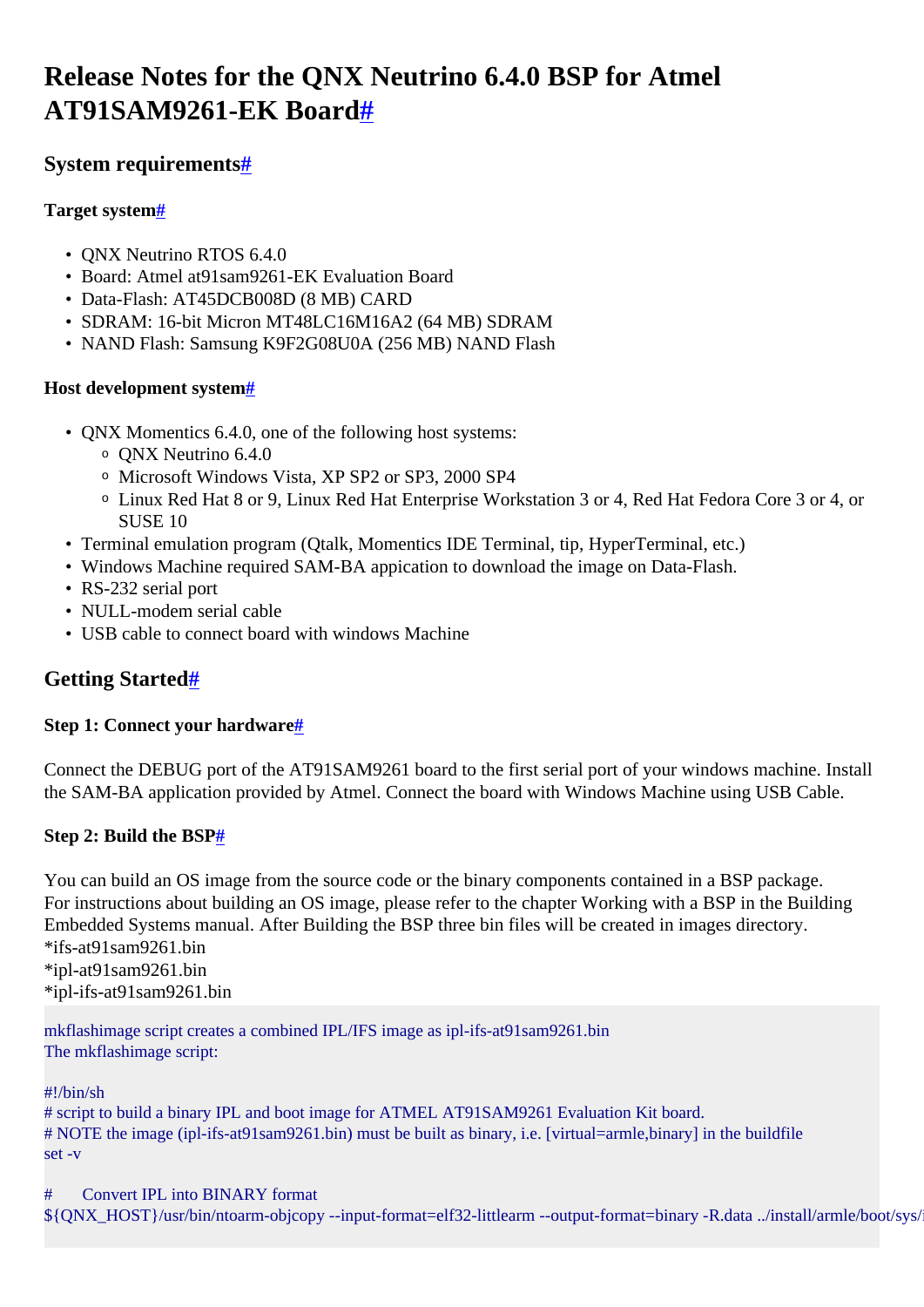# <span id="page-0-0"></span>**Release Notes for the QNX Neutrino 6.4.0 BSP for Atmel AT91SAM9261-EK Board[#](#page-0-0)**

# <span id="page-0-1"></span>**System requirement[s#](#page-0-1)**

### <span id="page-0-2"></span>**Target system[#](#page-0-2)**

- QNX Neutrino RTOS 6.4.0
- Board: Atmel at91sam9261-EK Evaluation Board
- Data-Flash: AT45DCB008D (8 MB) CARD
- SDRAM: 16-bit Micron MT48LC16M16A2 (64 MB) SDRAM
- NAND Flash: Samsung K9F2G08U0A (256 MB) NAND Flash

### <span id="page-0-3"></span>**Host development syste[m#](#page-0-3)**

- QNX Momentics 6.4.0, one of the following host systems:
	- <sup>o</sup> QNX Neutrino 6.4.0
	- <sup>o</sup> Microsoft Windows Vista, XP SP2 or SP3, 2000 SP4
	- <sup>o</sup> Linux Red Hat 8 or 9, Linux Red Hat Enterprise Workstation 3 or 4, Red Hat Fedora Core 3 or 4, or SUSE 10
- Terminal emulation program (Qtalk, Momentics IDE Terminal, tip, HyperTerminal, etc.)
- Windows Machine required SAM-BA appication to download the image on Data-Flash.
- RS-232 serial port
- NULL-modem serial cable
- USB cable to connect board with windows Machine

# <span id="page-0-4"></span>**Getting Started[#](#page-0-4)**

### <span id="page-0-5"></span>**Step 1: Connect your hardware[#](#page-0-5)**

Connect the DEBUG port of the AT91SAM9261 board to the first serial port of your windows machine. Install the SAM-BA application provided by Atmel. Connect the board with Windows Machine using USB Cable.

### <span id="page-0-6"></span>**Step 2: Build the BS[P#](#page-0-6)**

You can build an OS image from the source code or the binary components contained in a BSP package. For instructions about building an OS image, please refer to the chapter Working with a BSP in the Building Embedded Systems manual. After Building the BSP three bin files will be created in images directory.  $*$ ifs-at91sam9261 bin

\*ipl-at91sam9261.bin \*ipl-ifs-at91sam9261.bin

mkflashimage script creates a combined IPL/IFS image as ipl-ifs-at91sam9261.bin The mkflashimage script:

#!/bin/sh

# script to build a binary IPL and boot image for ATMEL AT91SAM9261 Evaluation Kit board. # NOTE the image (ipl-ifs-at91sam9261.bin) must be built as binary, i.e. [virtual=armle,binary] in the buildfile set -v

# Convert IPL into BINARY format  $\{\{QNX_HOST\}/usr/bin/ntoarm-objcopy -- input-format=elf32-littlearm --output-format=binarm-Linary -R.data ../install/armle/boot/sys/$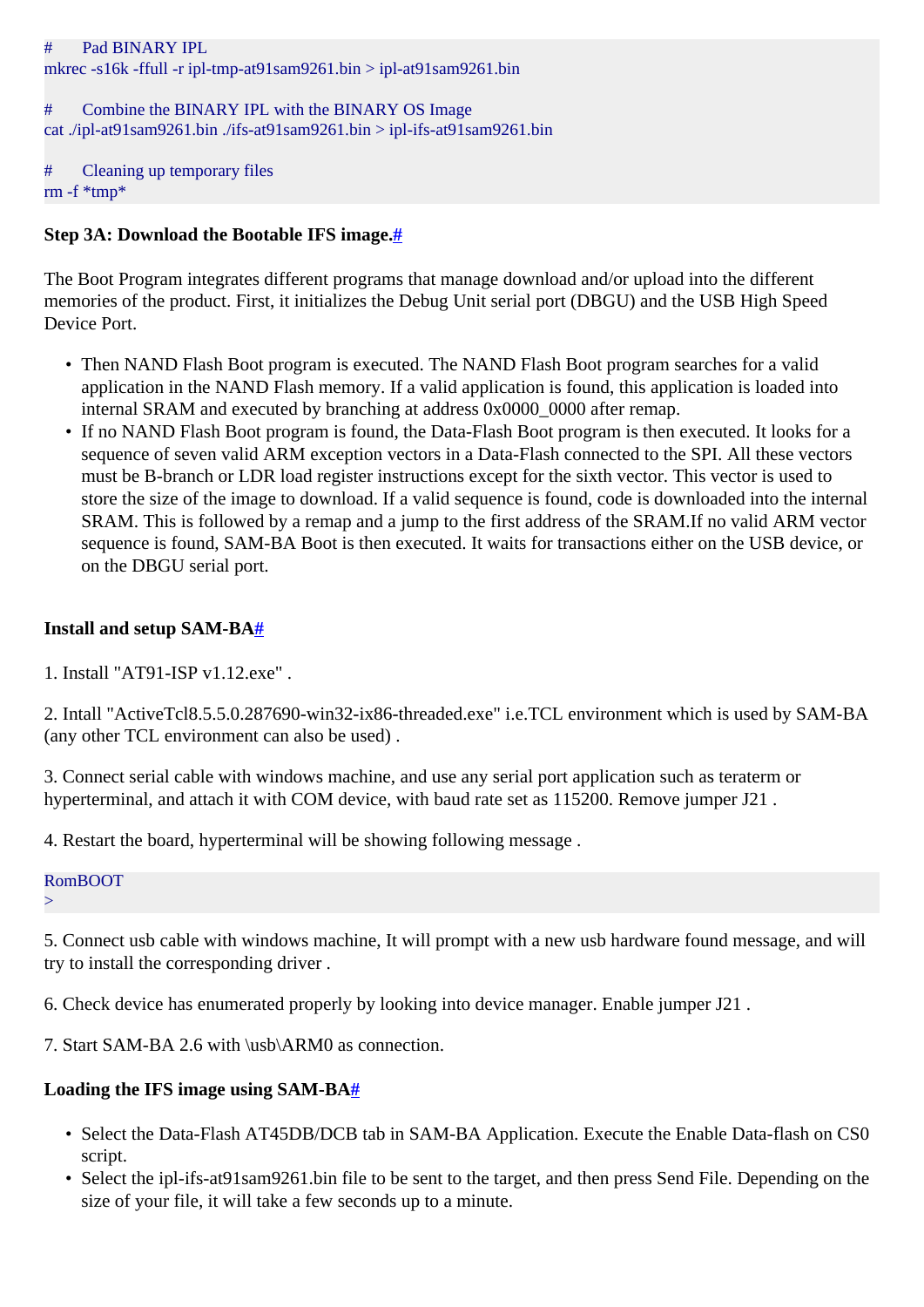#### # Pad BINARY IPL

mkrec -s16k -ffull -r ipl-tmp-at91sam9261.bin > ipl-at91sam9261.bin

### # Combine the BINARY IPL with the BINARY OS Image cat ./ipl-at91sam9261.bin ./ifs-at91sam9261.bin > ipl-ifs-at91sam9261.bin

# Cleaning up temporary files rm -f \*tmp\*

### <span id="page-1-0"></span>**Step 3A: Download the Bootable IFS image[.#](#page-1-0)**

The Boot Program integrates different programs that manage download and/or upload into the different memories of the product. First, it initializes the Debug Unit serial port (DBGU) and the USB High Speed Device Port.

- Then NAND Flash Boot program is executed. The NAND Flash Boot program searches for a valid application in the NAND Flash memory. If a valid application is found, this application is loaded into internal SRAM and executed by branching at address 0x0000\_0000 after remap.
- If no NAND Flash Boot program is found, the Data-Flash Boot program is then executed. It looks for a sequence of seven valid ARM exception vectors in a Data-Flash connected to the SPI. All these vectors must be B-branch or LDR load register instructions except for the sixth vector. This vector is used to store the size of the image to download. If a valid sequence is found, code is downloaded into the internal SRAM. This is followed by a remap and a jump to the first address of the SRAM.If no valid ARM vector sequence is found, SAM-BA Boot is then executed. It waits for transactions either on the USB device, or on the DBGU serial port.

### <span id="page-1-1"></span>**Install and setup SAM-B[A#](#page-1-1)**

1. Install "AT91-ISP v1.12.exe" .

2. Intall "ActiveTcl8.5.5.0.287690-win32-ix86-threaded.exe" i.e.TCL environment which is used by SAM-BA (any other TCL environment can also be used) .

3. Connect serial cable with windows machine, and use any serial port application such as teraterm or hyperterminal, and attach it with COM device, with baud rate set as 115200. Remove jumper J21 .

4. Restart the board, hyperterminal will be showing following message .

#### RomBOOT

 $\geq$ 

5. Connect usb cable with windows machine, It will prompt with a new usb hardware found message, and will try to install the corresponding driver .

6. Check device has enumerated properly by looking into device manager. Enable jumper J21 .

7. Start SAM-BA 2.6 with \usb\ARM0 as connection.

### <span id="page-1-2"></span>**Loading the IFS image using SAM-B[A#](#page-1-2)**

- Select the Data-Flash AT45DB/DCB tab in SAM-BA Application. Execute the Enable Data-flash on CS0 script.
- Select the ipl-ifs-at91sam9261.bin file to be sent to the target, and then press Send File. Depending on the size of your file, it will take a few seconds up to a minute.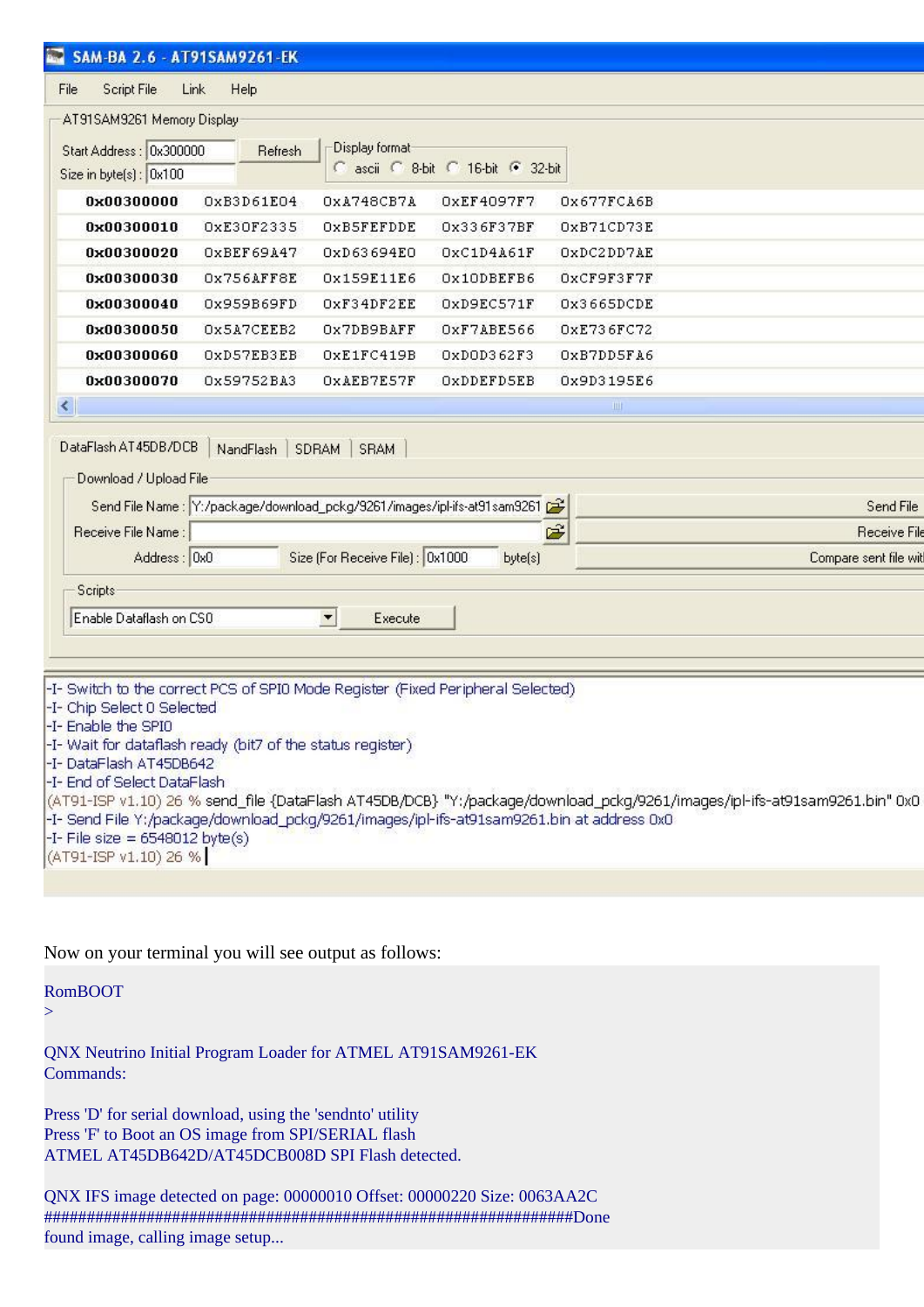| SAM-BA 2.6 - AT91SAM9261-EK                                                                                                       |              |                                                                                                             |                                   |                                                                |  |  |  |
|-----------------------------------------------------------------------------------------------------------------------------------|--------------|-------------------------------------------------------------------------------------------------------------|-----------------------------------|----------------------------------------------------------------|--|--|--|
| Script File<br>File                                                                                                               | Link<br>Help |                                                                                                             |                                   |                                                                |  |  |  |
| AT91SAM9261 Memory Display                                                                                                        |              |                                                                                                             |                                   |                                                                |  |  |  |
|                                                                                                                                   |              |                                                                                                             |                                   |                                                                |  |  |  |
| Start Address: 0x300000                                                                                                           | Refresh      | Display format                                                                                              | C ascii C 8-bit C 16-bit C 32-bit |                                                                |  |  |  |
| Size in byte(s): 0x100                                                                                                            |              |                                                                                                             |                                   |                                                                |  |  |  |
| 0x00300000                                                                                                                        | OxB3D61E04   | OxA748CB7A                                                                                                  | OxEF4097F7                        | Ox677FCA6B                                                     |  |  |  |
| 0x00300010                                                                                                                        | 0xE30F2335   | OXB5FEFDDE                                                                                                  | 0x336F37BF                        | OxB71CD73E                                                     |  |  |  |
| 0x00300020                                                                                                                        | OXBEF69A47   | 0xD63694E0                                                                                                  | OxC1D4A61F                        | OxDC2DD7AE                                                     |  |  |  |
| 0x00300030                                                                                                                        | Ox756AFF8E   | 0x159E11E6                                                                                                  | Ox10DBEFB6                        | OxCF9F3F7F                                                     |  |  |  |
| 0x00300040                                                                                                                        | 0x959B69FD   | OxF34DF2EE                                                                                                  | OXD9EC571F                        | Ox3665DCDE                                                     |  |  |  |
| 0x00300050                                                                                                                        | Ox5A7CEEB2   | Ox7DB9BAFF                                                                                                  | OXF7ABE566                        | OxE736FC72                                                     |  |  |  |
| 0x00300060                                                                                                                        | OXD57EB3EB   | OxE1FC419B                                                                                                  | OxDOD362F3                        | OXB7DD5FA6                                                     |  |  |  |
| 0x00300070                                                                                                                        | 0x59752BA3   | OXAEB7E57F                                                                                                  | OXDDEFD5EB                        | 0x9D3195E6                                                     |  |  |  |
| К                                                                                                                                 |              |                                                                                                             |                                   | 1111                                                           |  |  |  |
| Receive File Name:<br>Address: 0x0                                                                                                |              | Send File Name: Y:/package/download_pckg/9261/images/ipl-ifs-at91sam9261<br>Size (For Receive File): 0x1000 | byte(s)                           | Send File<br>Ê<br><b>Receive File</b><br>Compare sent file wit |  |  |  |
| Scripts                                                                                                                           |              |                                                                                                             |                                   |                                                                |  |  |  |
| Enable Dataflash on CSO                                                                                                           |              | $\blacktriangledown$<br>Execute                                                                             |                                   |                                                                |  |  |  |
|                                                                                                                                   |              |                                                                                                             |                                   |                                                                |  |  |  |
|                                                                                                                                   |              |                                                                                                             |                                   |                                                                |  |  |  |
| -I- Switch to the correct PCS of SPI0 Mode Register (Fixed Peripheral Selected)                                                   |              |                                                                                                             |                                   |                                                                |  |  |  |
| -I- Chip Select 0 Selected                                                                                                        |              |                                                                                                             |                                   |                                                                |  |  |  |
| -I- Enable the SPI0                                                                                                               |              |                                                                                                             |                                   |                                                                |  |  |  |
| -I-Wait for dataflash ready (bit7 of the status register)<br>-I-DataFlash AT45DB642                                               |              |                                                                                                             |                                   |                                                                |  |  |  |
| -I- End of Select DataFlash                                                                                                       |              |                                                                                                             |                                   |                                                                |  |  |  |
| (AT91-ISP v1.10) 26 % send_file {DataFlash AT45DB/DCB} "Y:/package/download_pckg/9261/images/ipl-ifs-at91sam9261.bin" 0x0         |              |                                                                                                             |                                   |                                                                |  |  |  |
| -I- Send File Y:/package/download_pckg/9261/images/ipl-ifs-at91sam9261.bin at address 0x0<br>-I- File size = $6548012$ byte $(s)$ |              |                                                                                                             |                                   |                                                                |  |  |  |
| (AT91-ISP v1.10) 26 %                                                                                                             |              |                                                                                                             |                                   |                                                                |  |  |  |
|                                                                                                                                   |              |                                                                                                             |                                   |                                                                |  |  |  |
|                                                                                                                                   |              |                                                                                                             |                                   |                                                                |  |  |  |

Now on your terminal you will see output as follows:

#### RomBOOT

 $\geq$ 

QNX Neutrino Initial Program Loader for ATMEL AT91SAM9261-EK Commands:

Press 'D' for serial download, using the 'sendnto' utility Press 'F' to Boot an OS image from SPI/SERIAL flash ATMEL AT45DB642D/AT45DCB008D SPI Flash detected.

QNX IFS image detected on page: 00000010 Offset: 00000220 Size: 0063AA2C ##############################################################Done found image, calling image setup...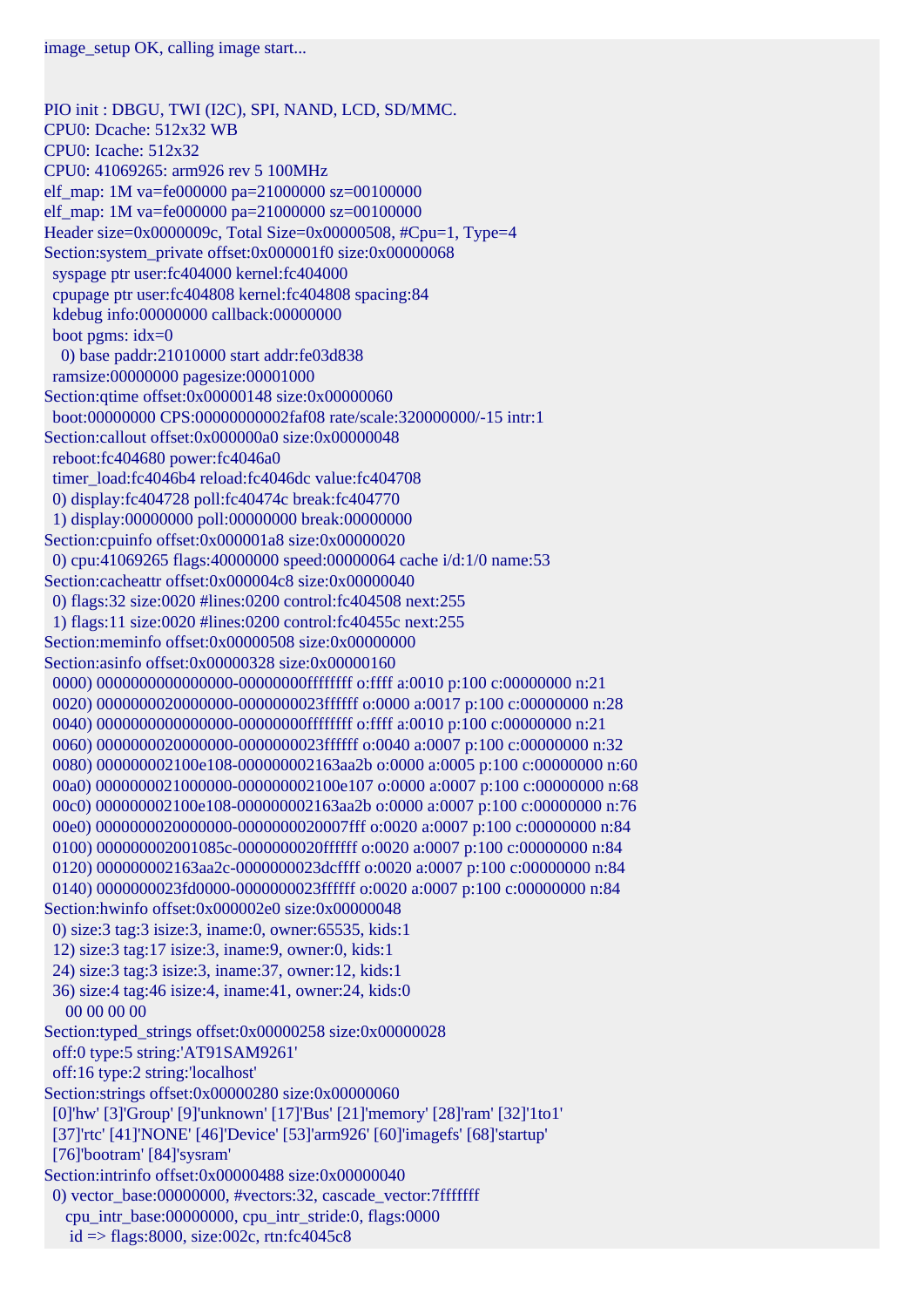PIO init : DBGU, TWI (I2C), SPI, NAND, LCD, SD/MMC. CPU0: Dcache: 512x32 WB CPU0: Icache: 512x32 CPU0: 41069265: arm926 rev 5 100MHz elf\_map: 1M va=fe000000 pa=21000000 sz=00100000 elf\_map: 1M va=fe000000 pa=21000000 sz=00100000 Header size=0x0000009c, Total Size=0x00000508, #Cpu=1, Type=4 Section:system\_private offset:0x000001f0 size:0x00000068 syspage ptr user:fc404000 kernel:fc404000 cpupage ptr user:fc404808 kernel:fc404808 spacing:84 kdebug info:00000000 callback:00000000 boot pgms:  $idx=0$  0) base paddr:21010000 start addr:fe03d838 ramsize:00000000 pagesize:00001000 Section:qtime offset:0x00000148 size:0x00000060 boot:00000000 CPS:00000000002faf08 rate/scale:320000000/-15 intr:1 Section:callout offset:0x000000a0 size:0x00000048 reboot:fc404680 power:fc4046a0 timer\_load:fc4046b4 reload:fc4046dc value:fc404708 0) display:fc404728 poll:fc40474c break:fc404770 1) display:00000000 poll:00000000 break:00000000 Section:cpuinfo offset:0x000001a8 size:0x00000020 0) cpu:41069265 flags:40000000 speed:00000064 cache i/d:1/0 name:53 Section:cacheattr offset:0x000004c8 size:0x00000040 0) flags:32 size:0020 #lines:0200 control:fc404508 next:255 1) flags:11 size:0020 #lines:0200 control:fc40455c next:255 Section:meminfo offset:0x00000508 size:0x00000000 Section:asinfo offset:0x00000328 size:0x00000160 0000) 0000000000000000-00000000ffffffff o:ffff a:0010 p:100 c:00000000 n:21 0020) 0000000020000000-0000000023ffffff o:0000 a:0017 p:100 c:00000000 n:28 0040) 0000000000000000-00000000ffffffff o:ffff a:0010 p:100 c:00000000 n:21 0060) 0000000020000000-0000000023ffffff o:0040 a:0007 p:100 c:00000000 n:32 0080) 000000002100e108-000000002163aa2b o:0000 a:0005 p:100 c:00000000 n:60 00a0) 0000000021000000-000000002100e107 o:0000 a:0007 p:100 c:00000000 n:68 00c0) 000000002100e108-000000002163aa2b o:0000 a:0007 p:100 c:00000000 n:76 00e0) 000000002000000-00000000020007fff o:0020 a:0007 p:100 c:00000000 n:84 0100) 000000002001085c-0000000020ffffff o:0020 a:0007 p:100 c:00000000 n:84 0120) 000000002163aa2c-0000000023dcffff o:0020 a:0007 p:100 c:00000000 n:84 0140) 0000000023fd0000-0000000023ffffff o:0020 a:0007 p:100 c:00000000 n:84 Section:hwinfo offset:0x000002e0 size:0x00000048 0) size:3 tag:3 isize:3, iname:0, owner:65535, kids:1 12) size:3 tag:17 isize:3, iname:9, owner:0, kids:1 24) size:3 tag:3 isize:3, iname:37, owner:12, kids:1 36) size:4 tag:46 isize:4, iname:41, owner:24, kids:0 00 00 00 00 Section:typed\_strings offset:0x00000258 size:0x00000028 off:0 type:5 string:'AT91SAM9261' off:16 type:2 string:'localhost' Section:strings offset:0x00000280 size:0x00000060 [0]'hw' [3]'Group' [9]'unknown' [17]'Bus' [21]'memory' [28]'ram' [32]'1to1' [37]'rtc' [41]'NONE' [46]'Device' [53]'arm926' [60]'imagefs' [68]'startup' [76]'bootram' [84]'sysram' Section:intrinfo offset:0x00000488 size:0x00000040 0) vector\_base:00000000, #vectors:32, cascade\_vector:7fffffff cpu\_intr\_base:00000000, cpu\_intr\_stride:0, flags:0000  $id =$  flags:8000, size:002c, rtn:fc4045c8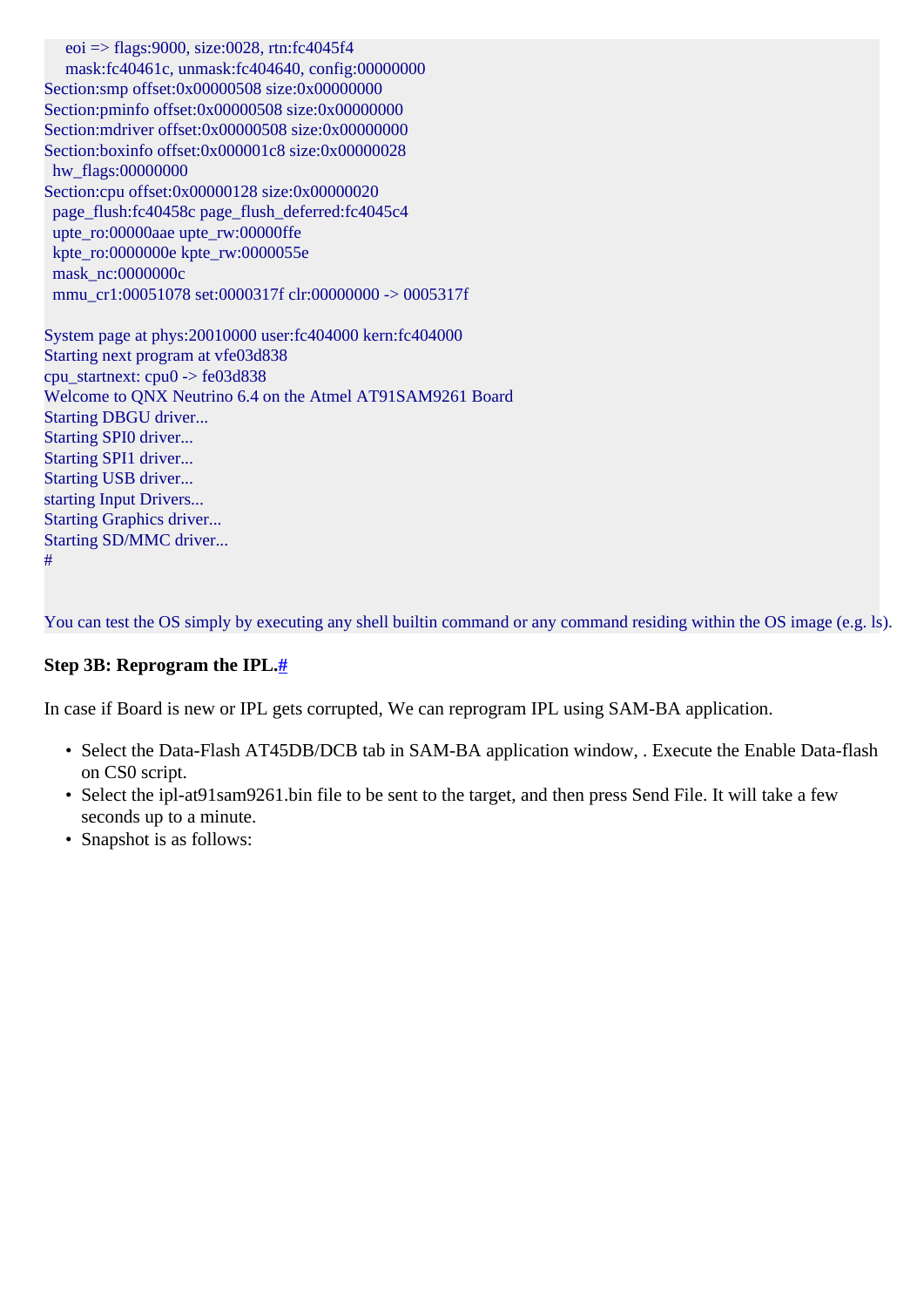eoi  $\Rightarrow$  flags:9000, size:0028, rtn:fc4045f4 mask:fc40461c, unmask:fc404640, config:00000000 Section:smp offset:0x00000508 size:0x00000000 Section:pminfo offset:0x00000508 size:0x00000000 Section:mdriver offset:0x00000508 size:0x00000000 Section:boxinfo offset:0x000001c8 size:0x00000028 hw\_flags:00000000 Section:cpu offset:0x00000128 size:0x00000020 page\_flush:fc40458c page\_flush\_deferred:fc4045c4 upte\_ro:00000aae upte\_rw:00000ffe kpte\_ro:0000000e kpte\_rw:0000055e mask\_nc:0000000c mmu\_cr1:00051078 set:0000317f clr:00000000 -> 0005317f System page at phys:20010000 user:fc404000 kern:fc404000 Starting next program at vfe03d838 cpu\_startnext: cpu0 -> fe03d838 Welcome to QNX Neutrino 6.4 on the Atmel AT91SAM9261 Board Starting DBGU driver... Starting SPI0 driver... Starting SPI1 driver... Starting USB driver... starting Input Drivers... Starting Graphics driver... Starting SD/MMC driver... #

You can test the OS simply by executing any shell builtin command or any command residing within the OS image (e.g. ls).

#### <span id="page-4-0"></span>**Step 3B: Reprogram the IPL[.#](#page-4-0)**

In case if Board is new or IPL gets corrupted, We can reprogram IPL using SAM-BA application.

- Select the Data-Flash AT45DB/DCB tab in SAM-BA application window, . Execute the Enable Data-flash on CS0 script.
- Select the ipl-at91sam9261.bin file to be sent to the target, and then press Send File. It will take a few seconds up to a minute.
- Snapshot is as follows: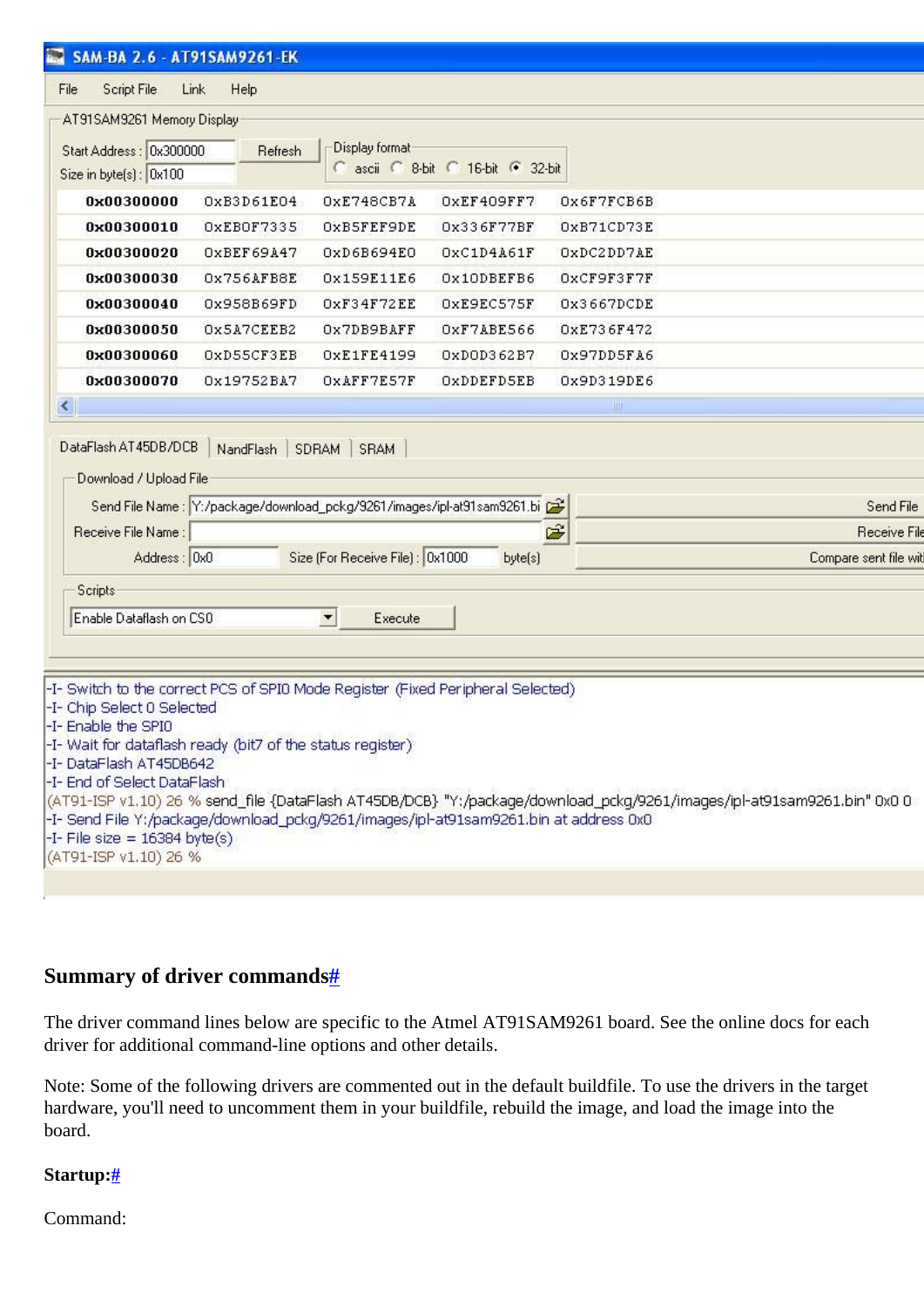| SAM-BA 2.6 - AT91SAM9261-EK                                                           |                                                                          |                                     |            |                                                                                                                         |
|---------------------------------------------------------------------------------------|--------------------------------------------------------------------------|-------------------------------------|------------|-------------------------------------------------------------------------------------------------------------------------|
| File                                                                                  | Link                                                                     |                                     |            |                                                                                                                         |
| Script File                                                                           | Help                                                                     |                                     |            |                                                                                                                         |
| AT91SAM9261 Memory Display                                                            |                                                                          | Display format-                     |            |                                                                                                                         |
| Start Address: 0x300000<br>Size in byte(s): 0x100                                     | Refresh                                                                  | C ascii C 8-bit C 16-bit C 32-bit   |            |                                                                                                                         |
| 0x00300000                                                                            | OxB3D61E04                                                               | OXE748CB7A                          | OxEF409FF7 | Ox6F7FCB6B                                                                                                              |
| 0x00300010                                                                            | OXEBOF7335                                                               | OXB5FEF9DE                          | 0x336F77BF | OxB71CD73E                                                                                                              |
| 0x00300020                                                                            | OXBEF69A47                                                               | 0xD6B694E0                          | OxC1D4A61F | OXDC2DD7AE                                                                                                              |
| 0x00300030                                                                            | Ox756AFB8E                                                               | 0x159E11E6                          | Ox10DBEFB6 | OxCF9F3F7F                                                                                                              |
| 0x00300040                                                                            | 0x958B69FD                                                               | OxF34F72EE                          | OXE9EC575F | Ox3667DCDE                                                                                                              |
| 0x00300050                                                                            | Ox5A7CEEB2                                                               | Ox7DB9BAFF                          | OXF7ABE566 | OxE736F472                                                                                                              |
| 0x00300060                                                                            | OxD55CF3EB                                                               | OxE1FE4199                          | OxDOD362B7 | Ox97DD5FA6                                                                                                              |
| 0x00300070                                                                            | 0x19752BA7                                                               | OXAFF7E57F                          | OXDDEFD5EB | 0x9D319DE6                                                                                                              |
| $\prec$                                                                               |                                                                          |                                     |            | Ш                                                                                                                       |
| Receive File Name:                                                                    | Send File Name : Y:/package/download_pckg/9261/images/ipl-at91sam9261.bi |                                     |            | Send File<br>É<br>Receive File                                                                                          |
| Address: 0x0                                                                          |                                                                          | Size (For Receive File) : 0x1000    | byte(s)    | Compare sent file wit                                                                                                   |
| <b>Scripts</b>                                                                        |                                                                          |                                     |            |                                                                                                                         |
| Enable Dataflash on CSO                                                               |                                                                          | $\overline{\phantom{a}}$<br>Execute |            |                                                                                                                         |
|                                                                                       |                                                                          |                                     |            |                                                                                                                         |
|                                                                                       |                                                                          |                                     |            |                                                                                                                         |
| -I- Switch to the correct PCS of SPIO Mode Register (Fixed Peripheral Selected)       |                                                                          |                                     |            |                                                                                                                         |
| -I- Chip Select 0 Selected<br>-I- Enable the SPIO                                     |                                                                          |                                     |            |                                                                                                                         |
| -I-Wait for dataflash ready (bit7 of the status register)                             |                                                                          |                                     |            |                                                                                                                         |
| -I-DataFlash AT45DB642<br>-I- End of Select DataFlash                                 |                                                                          |                                     |            |                                                                                                                         |
|                                                                                       |                                                                          |                                     |            | (AT91-ISP v1.10) 26 % send_file {DataFlash AT45DB/DCB} "Y:/package/download_pckg/9261/images/ipl-at91sam9261.bin" 0x0 0 |
| -I- Send File Y:/package/download_pckg/9261/images/ipl-at91sam9261.bin at address 0x0 |                                                                          |                                     |            |                                                                                                                         |
| -I- File size = $16384$ byte(s)<br>(AT91-ISP v1.10) 26 %                              |                                                                          |                                     |            |                                                                                                                         |
|                                                                                       |                                                                          |                                     |            |                                                                                                                         |
|                                                                                       |                                                                          |                                     |            |                                                                                                                         |

### <span id="page-5-0"></span>**Summary of driver command[s#](#page-5-0)**

The driver command lines below are specific to the Atmel AT91SAM9261 board. See the online docs for each driver for additional command-line options and other details.

Note: Some of the following drivers are commented out in the default buildfile. To use the drivers in the target hardware, you'll need to uncomment them in your buildfile, rebuild the image, and load the image into the board.

#### <span id="page-5-1"></span>**Startup:[#](#page-5-1)**

Command: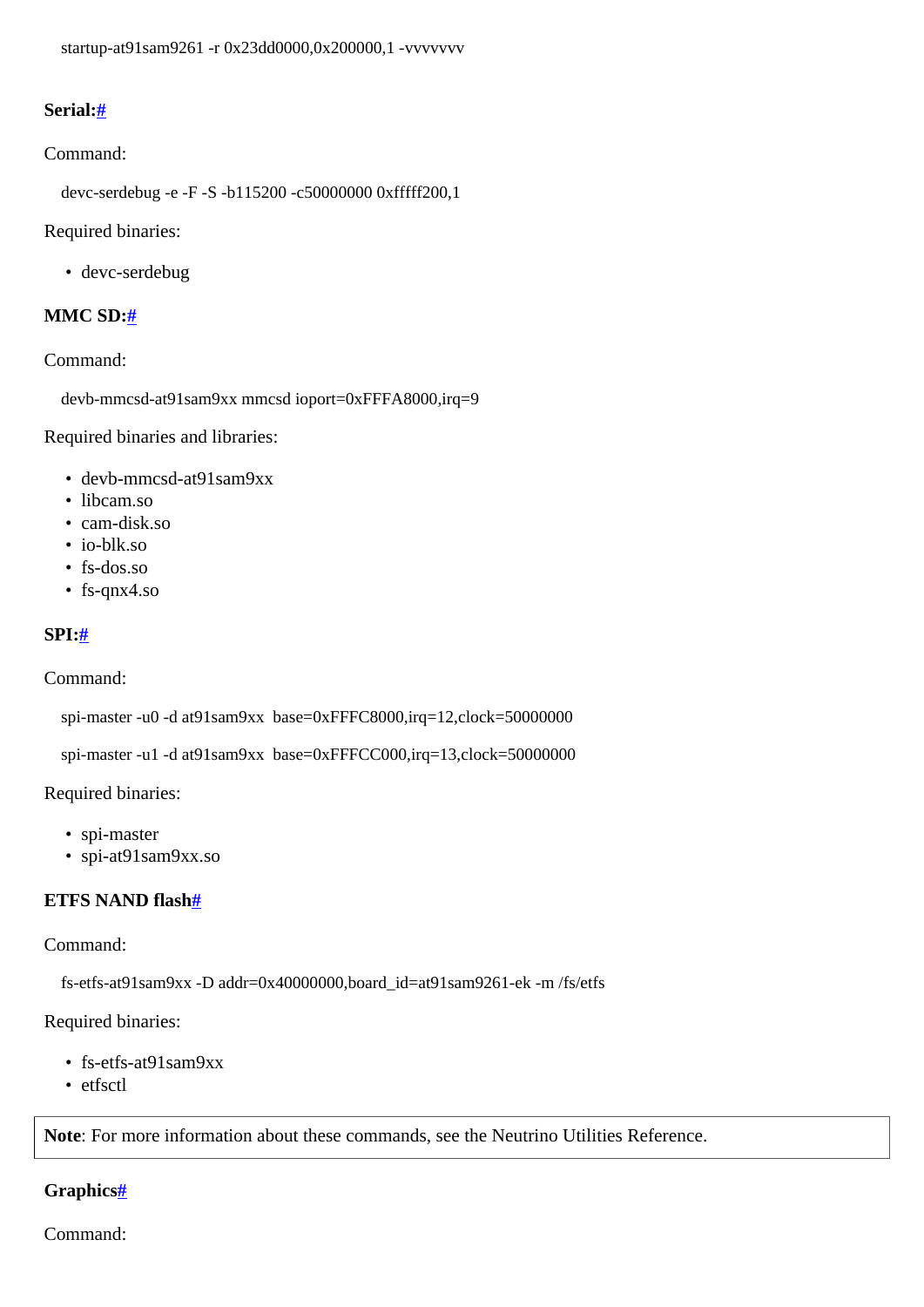### <span id="page-6-0"></span>**Serial[:#](#page-6-0)**

#### Command:

devc-serdebug -e -F -S -b115200 -c50000000 0xfffff200,1

Required binaries:

• devc-serdebug

### <span id="page-6-1"></span>**MMC SD:[#](#page-6-1)**

### Command:

devb-mmcsd-at91sam9xx mmcsd ioport=0xFFFA8000,irq=9

Required binaries and libraries:

- devb-mmcsd-at91sam9xx
- libcam.so
- cam-disk.so
- io-blk.so
- fs-dos.so
- fs-qnx4.so

### <span id="page-6-2"></span>**SPI[:#](#page-6-2)**

Command:

spi-master -u0 -d at91sam9xx base=0xFFFC8000,irq=12,clock=50000000

spi-master -u1 -d at91sam9xx base=0xFFFCC000,irq=13,clock=50000000

### Required binaries:

- spi-master
- spi-at91sam9xx.so

### <span id="page-6-3"></span>**ETFS NAND flash[#](#page-6-3)**

#### Command:

fs-etfs-at91sam9xx -D addr=0x40000000,board\_id=at91sam9261-ek -m /fs/etfs

### Required binaries:

- fs-etfs-at91sam9xx
- etfsctl

**Note**: For more information about these commands, see the Neutrino Utilities Reference.

## <span id="page-6-4"></span>**Graphics[#](#page-6-4)**

Command: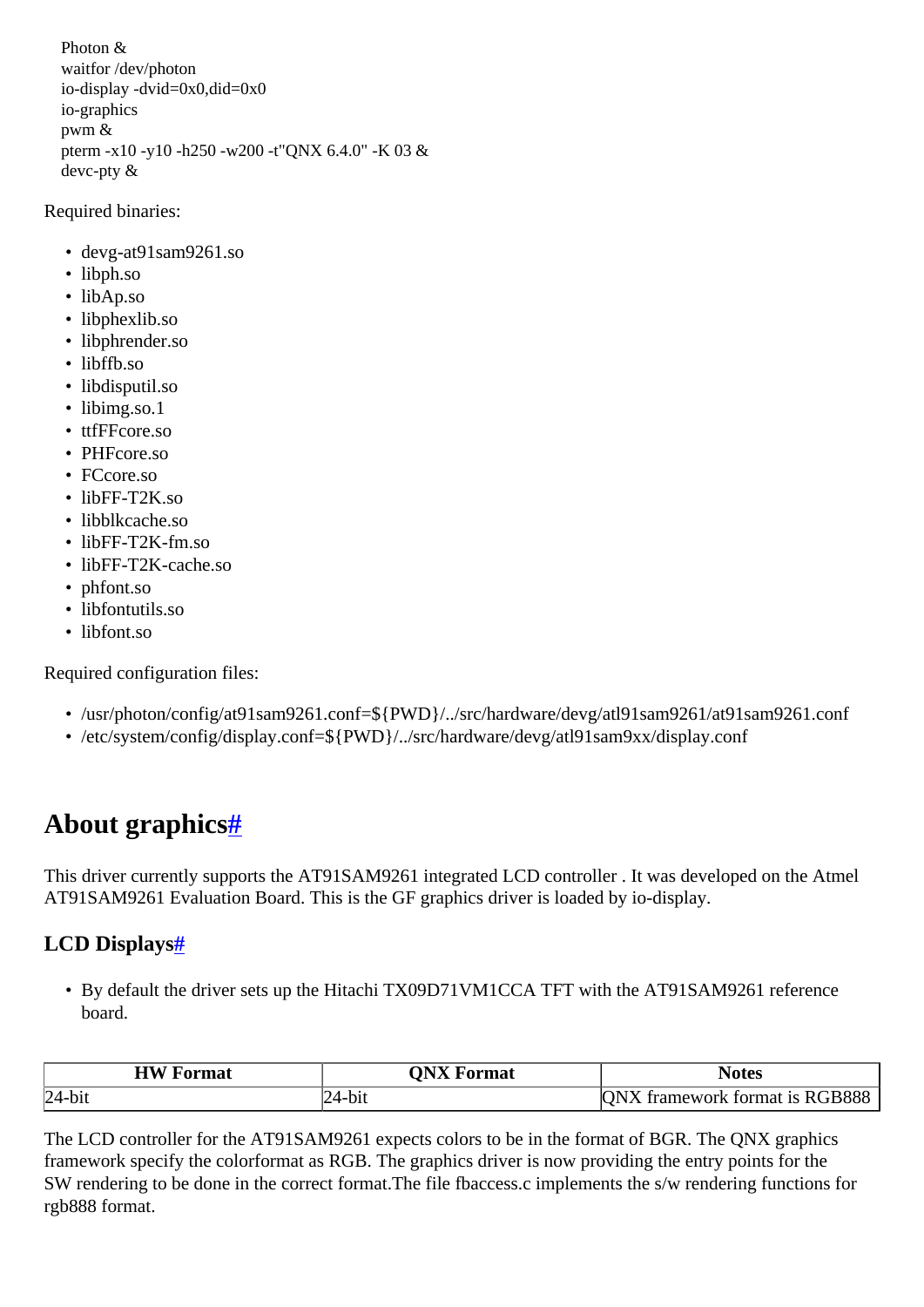Photon & waitfor /dev/photon io-display -dvid=0x0,did=0x0 io-graphics pwm & pterm -x10 -y10 -h250 -w200 -t"QNX 6.4.0" -K 03 & devc-pty &

### Required binaries:

- devg-at91sam9261.so
- libph.so
- libAp.so
- libphexlib.so
- libphrender.so
- libffb.so
- libdisputil.so
- libimg.so.1
- ttfFFcore.so
- PHFcore.so
- FCcore.so
- libFF-T2K so
- libblkcache.so
- libFF-T2K-fm.so
- libFF-T2K-cache.so
- phfont.so
- libfontutils.so
- libfont.so

Required configuration files:

- /usr/photon/config/at91sam9261.conf=\${PWD}/../src/hardware/devg/atl91sam9261/at91sam9261.conf
- /etc/system/config/display.conf=\${PWD}/../src/hardware/devg/atl91sam9xx/display.conf

# <span id="page-7-0"></span>**About graphics[#](#page-7-0)**

This driver currently supports the AT91SAM9261 integrated LCD controller . It was developed on the Atmel AT91SAM9261 Evaluation Board. This is the GF graphics driver is loaded by io-display.

## <span id="page-7-1"></span>**LCD Display[s#](#page-7-1)**

• By default the driver sets up the Hitachi TX09D71VM1CCA TFT with the AT91SAM9261 reference board.

| <b>HW</b> Format | <b>ONX Format</b> | <b>Notes</b>                  |
|------------------|-------------------|-------------------------------|
| $ 24-bit$        |                   | format is RGB888<br>tramework |

The LCD controller for the AT91SAM9261 expects colors to be in the format of BGR. The QNX graphics framework specify the colorformat as RGB. The graphics driver is now providing the entry points for the SW rendering to be done in the correct format.The file fbaccess.c implements the s/w rendering functions for rgb888 format.